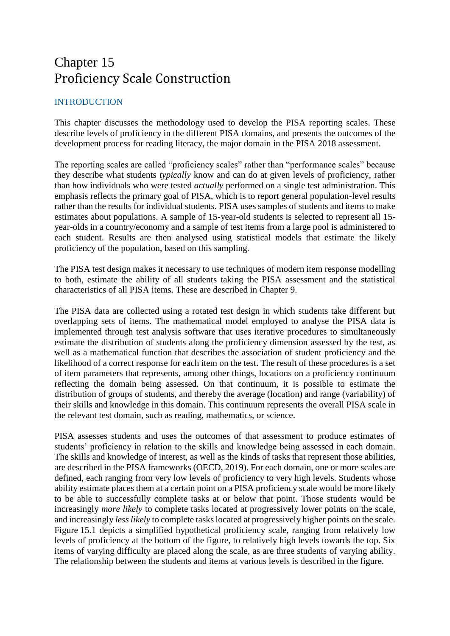# Chapter 15 Proficiency Scale Construction

# INTRODUCTION

This chapter discusses the methodology used to develop the PISA reporting scales. These describe levels of proficiency in the different PISA domains, and presents the outcomes of the development process for reading literacy, the major domain in the PISA 2018 assessment.

The reporting scales are called "proficiency scales" rather than "performance scales" because they describe what students *typically* know and can do at given levels of proficiency, rather than how individuals who were tested *actually* performed on a single test administration. This emphasis reflects the primary goal of PISA, which is to report general population-level results rather than the results for individual students. PISA uses samples of students and items to make estimates about populations. A sample of 15-year-old students is selected to represent all 15 year-olds in a country/economy and a sample of test items from a large pool is administered to each student. Results are then analysed using statistical models that estimate the likely proficiency of the population, based on this sampling.

The PISA test design makes it necessary to use techniques of modern item response modelling to both, estimate the ability of all students taking the PISA assessment and the statistical characteristics of all PISA items. These are described in Chapter 9.

The PISA data are collected using a rotated test design in which students take different but overlapping sets of items. The mathematical model employed to analyse the PISA data is implemented through test analysis software that uses iterative procedures to simultaneously estimate the distribution of students along the proficiency dimension assessed by the test, as well as a mathematical function that describes the association of student proficiency and the likelihood of a correct response for each item on the test. The result of these procedures is a set of item parameters that represents, among other things, locations on a proficiency continuum reflecting the domain being assessed. On that continuum, it is possible to estimate the distribution of groups of students, and thereby the average (location) and range (variability) of their skills and knowledge in this domain. This continuum represents the overall PISA scale in the relevant test domain, such as reading, mathematics, or science.

PISA assesses students and uses the outcomes of that assessment to produce estimates of students' proficiency in relation to the skills and knowledge being assessed in each domain. The skills and knowledge of interest, as well as the kinds of tasks that represent those abilities, are described in the PISA frameworks (OECD, 2019). For each domain, one or more scales are defined, each ranging from very low levels of proficiency to very high levels. Students whose ability estimate places them at a certain point on a PISA proficiency scale would be more likely to be able to successfully complete tasks at or below that point. Those students would be increasingly *more likely* to complete tasks located at progressively lower points on the scale, and increasingly *less likely* to complete tasks located at progressively higher points on the scale. Figure 15.1 depicts a simplified hypothetical proficiency scale, ranging from relatively low levels of proficiency at the bottom of the figure, to relatively high levels towards the top. Six items of varying difficulty are placed along the scale, as are three students of varying ability. The relationship between the students and items at various levels is described in the figure.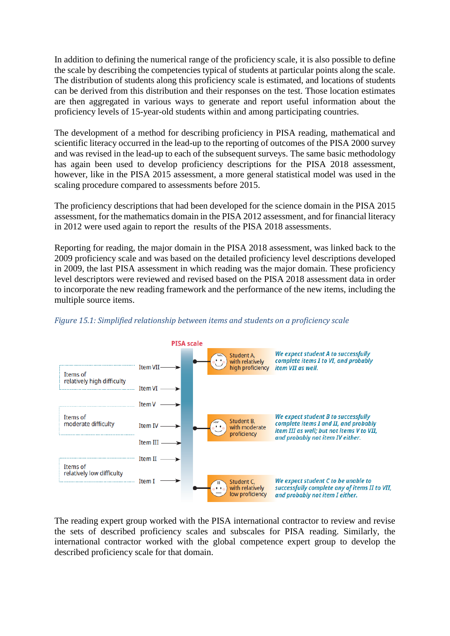In addition to defining the numerical range of the proficiency scale, it is also possible to define the scale by describing the competencies typical of students at particular points along the scale. The distribution of students along this proficiency scale is estimated, and locations of students can be derived from this distribution and their responses on the test. Those location estimates are then aggregated in various ways to generate and report useful information about the proficiency levels of 15-year-old students within and among participating countries.

The development of a method for describing proficiency in PISA reading, mathematical and scientific literacy occurred in the lead-up to the reporting of outcomes of the PISA 2000 survey and was revised in the lead-up to each of the subsequent surveys. The same basic methodology has again been used to develop proficiency descriptions for the PISA 2018 assessment, however, like in the PISA 2015 assessment, a more general statistical model was used in the scaling procedure compared to assessments before 2015.

The proficiency descriptions that had been developed for the science domain in the PISA 2015 assessment, for the mathematics domain in the PISA 2012 assessment, and for financial literacy in 2012 were used again to report the results of the PISA 2018 assessments.

Reporting for reading, the major domain in the PISA 2018 assessment, was linked back to the 2009 proficiency scale and was based on the detailed proficiency level descriptions developed in 2009, the last PISA assessment in which reading was the major domain. These proficiency level descriptors were reviewed and revised based on the PISA 2018 assessment data in order to incorporate the new reading framework and the performance of the new items, including the multiple source items.



*Figure 15.1: Simplified relationship between items and students on a proficiency scale*

The reading expert group worked with the PISA international contractor to review and revise the sets of described proficiency scales and subscales for PISA reading. Similarly, the international contractor worked with the global competence expert group to develop the described proficiency scale for that domain.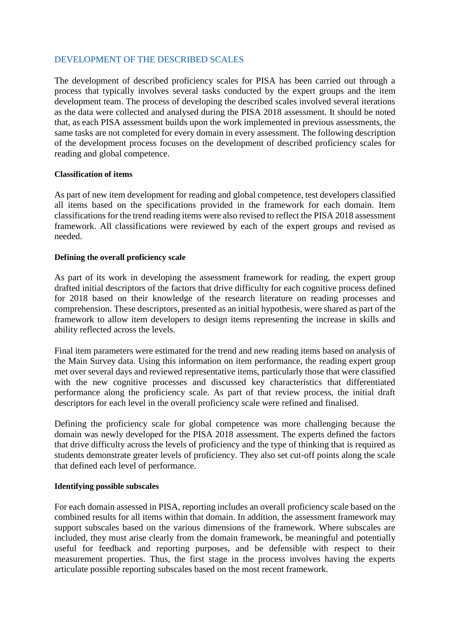## DEVELOPMENT OF THE DESCRIBED SCALES

The development of described proficiency scales for PISA has been carried out through a process that typically involves several tasks conducted by the expert groups and the item development team. The process of developing the described scales involved several iterations as the data were collected and analysed during the PISA 2018 assessment. It should be noted that, as each PISA assessment builds upon the work implemented in previous assessments, the same tasks are not completed for every domain in every assessment. The following description of the development process focuses on the development of described proficiency scales for reading and global competence.

#### **Classification of items**

As part of new item development for reading and global competence, test developers classified all items based on the specifications provided in the framework for each domain. Item classifications for the trend reading items were also revised to reflect the PISA 2018 assessment framework. All classifications were reviewed by each of the expert groups and revised as needed.

#### **Defining the overall proficiency scale**

As part of its work in developing the assessment framework for reading, the expert group drafted initial descriptors of the factors that drive difficulty for each cognitive process defined for 2018 based on their knowledge of the research literature on reading processes and comprehension. These descriptors, presented as an initial hypothesis, were shared as part of the framework to allow item developers to design items representing the increase in skills and ability reflected across the levels.

Final item parameters were estimated for the trend and new reading items based on analysis of the Main Survey data. Using this information on item performance, the reading expert group met over several days and reviewed representative items, particularly those that were classified with the new cognitive processes and discussed key characteristics that differentiated performance along the proficiency scale. As part of that review process, the initial draft descriptors for each level in the overall proficiency scale were refined and finalised.

Defining the proficiency scale for global competence was more challenging because the domain was newly developed for the PISA 2018 assessment. The experts defined the factors that drive difficulty across the levels of proficiency and the type of thinking that is required as students demonstrate greater levels of proficiency. They also set cut-off points along the scale that defined each level of performance.

#### **Identifying possible subscales**

For each domain assessed in PISA, reporting includes an overall proficiency scale based on the combined results for all items within that domain. In addition, the assessment framework may support subscales based on the various dimensions of the framework. Where subscales are included, they must arise clearly from the domain framework, be meaningful and potentially useful for feedback and reporting purposes, and be defensible with respect to their measurement properties. Thus, the first stage in the process involves having the experts articulate possible reporting subscales based on the most recent framework.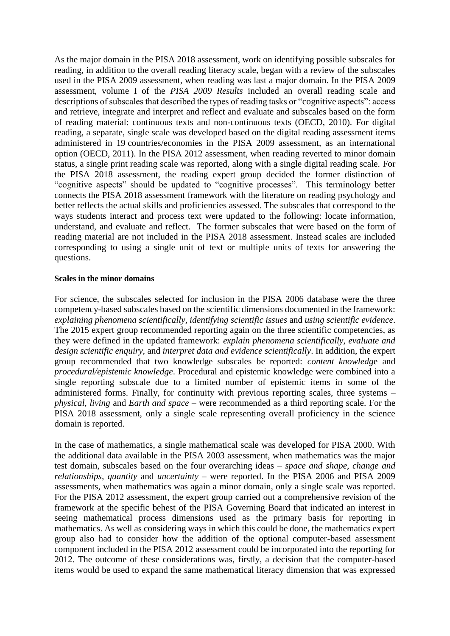As the major domain in the PISA 2018 assessment, work on identifying possible subscales for reading, in addition to the overall reading literacy scale, began with a review of the subscales used in the PISA 2009 assessment, when reading was last a major domain. In the PISA 2009 assessment, volume I of the *PISA 2009 Results* included an overall reading scale and descriptions of subscales that described the types of reading tasks or "cognitive aspects": access and retrieve, integrate and interpret and reflect and evaluate and subscales based on the form of reading material: continuous texts and non-continuous texts (OECD, 2010). For digital reading, a separate, single scale was developed based on the digital reading assessment items administered in 19 countries/economies in the PISA 2009 assessment, as an international option (OECD, 2011). In the PISA 2012 assessment, when reading reverted to minor domain status, a single print reading scale was reported, along with a single digital reading scale. For the PISA 2018 assessment, the reading expert group decided the former distinction of "cognitive aspects" should be updated to "cognitive processes". This terminology better connects the PISA 2018 assessment framework with the literature on reading psychology and better reflects the actual skills and proficiencies assessed. The subscales that correspond to the ways students interact and process text were updated to the following: locate information, understand, and evaluate and reflect. The former subscales that were based on the form of reading material are not included in the PISA 2018 assessment. Instead scales are included corresponding to using a single unit of text or multiple units of texts for answering the questions.

#### **Scales in the minor domains**

For science, the subscales selected for inclusion in the PISA 2006 database were the three competency-based subscales based on the scientific dimensions documented in the framework: *explaining phenomena scientifically, identifying scientific issues* and *using scientific evidence*. The 2015 expert group recommended reporting again on the three scientific competencies, as they were defined in the updated framework: *explain phenomena scientifically, evaluate and design scientific enquiry,* and *interpret data and evidence scientifically*. In addition, the expert group recommended that two knowledge subscales be reported: *content knowledg*e and *procedural/epistemic knowledge*. Procedural and epistemic knowledge were combined into a single reporting subscale due to a limited number of epistemic items in some of the administered forms. Finally, for continuity with previous reporting scales, three systems – *physical, living* and *Earth and space* – were recommended as a third reporting scale. For the PISA 2018 assessment, only a single scale representing overall proficiency in the science domain is reported.

In the case of mathematics, a single mathematical scale was developed for PISA 2000. With the additional data available in the PISA 2003 assessment, when mathematics was the major test domain, subscales based on the four overarching ideas – *space and shape, change and relationships, quantity* and *uncertainty* – were reported. In the PISA 2006 and PISA 2009 assessments, when mathematics was again a minor domain, only a single scale was reported. For the PISA 2012 assessment, the expert group carried out a comprehensive revision of the framework at the specific behest of the PISA Governing Board that indicated an interest in seeing mathematical process dimensions used as the primary basis for reporting in mathematics. As well as considering ways in which this could be done, the mathematics expert group also had to consider how the addition of the optional computer-based assessment component included in the PISA 2012 assessment could be incorporated into the reporting for 2012. The outcome of these considerations was, firstly, a decision that the computer-based items would be used to expand the same mathematical literacy dimension that was expressed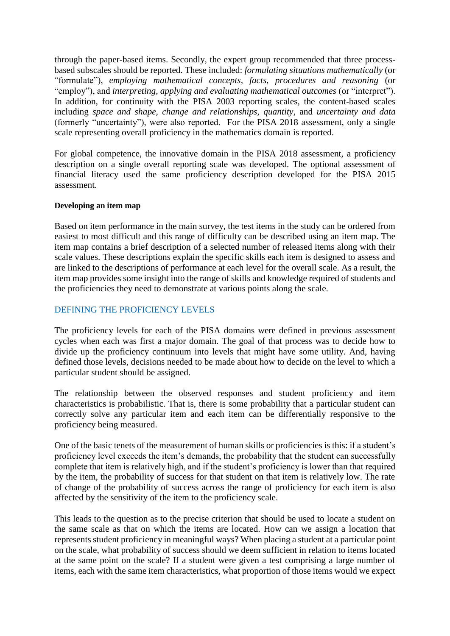through the paper-based items. Secondly, the expert group recommended that three processbased subscales should be reported. These included: *formulating situations mathematically* (or "formulate"), *employing mathematical concepts, facts, procedures and reasoning* (or "employ"), and *interpreting, applying and evaluating mathematical outcomes* (or "interpret"). In addition, for continuity with the PISA 2003 reporting scales, the content-based scales including *space and shape, change and relationships, quantity*, and *uncertainty and data* (formerly "uncertainty"), were also reported. For the PISA 2018 assessment, only a single scale representing overall proficiency in the mathematics domain is reported.

For global competence, the innovative domain in the PISA 2018 assessment, a proficiency description on a single overall reporting scale was developed. The optional assessment of financial literacy used the same proficiency description developed for the PISA 2015 assessment.

### **Developing an item map**

Based on item performance in the main survey, the test items in the study can be ordered from easiest to most difficult and this range of difficulty can be described using an item map. The item map contains a brief description of a selected number of released items along with their scale values. These descriptions explain the specific skills each item is designed to assess and are linked to the descriptions of performance at each level for the overall scale. As a result, the item map provides some insight into the range of skills and knowledge required of students and the proficiencies they need to demonstrate at various points along the scale.

## DEFINING THE PROFICIENCY LEVELS

The proficiency levels for each of the PISA domains were defined in previous assessment cycles when each was first a major domain. The goal of that process was to decide how to divide up the proficiency continuum into levels that might have some utility. And, having defined those levels, decisions needed to be made about how to decide on the level to which a particular student should be assigned.

The relationship between the observed responses and student proficiency and item characteristics is probabilistic. That is, there is some probability that a particular student can correctly solve any particular item and each item can be differentially responsive to the proficiency being measured.

One of the basic tenets of the measurement of human skills or proficiencies is this: if a student's proficiency level exceeds the item's demands, the probability that the student can successfully complete that item is relatively high, and if the student's proficiency is lower than that required by the item, the probability of success for that student on that item is relatively low. The rate of change of the probability of success across the range of proficiency for each item is also affected by the sensitivity of the item to the proficiency scale.

This leads to the question as to the precise criterion that should be used to locate a student on the same scale as that on which the items are located. How can we assign a location that represents student proficiency in meaningful ways? When placing a student at a particular point on the scale, what probability of success should we deem sufficient in relation to items located at the same point on the scale? If a student were given a test comprising a large number of items, each with the same item characteristics, what proportion of those items would we expect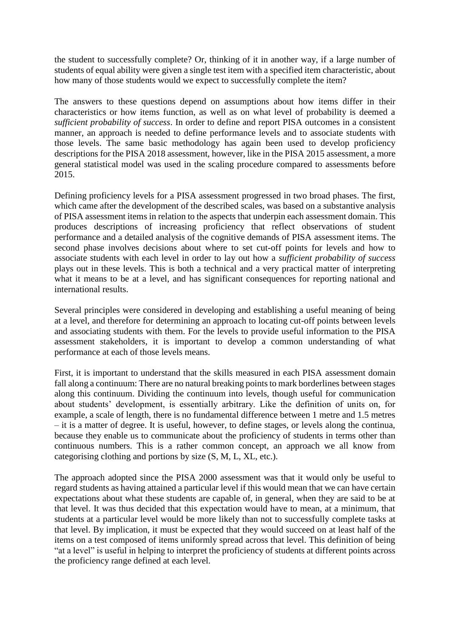the student to successfully complete? Or, thinking of it in another way, if a large number of students of equal ability were given a single test item with a specified item characteristic, about how many of those students would we expect to successfully complete the item?

The answers to these questions depend on assumptions about how items differ in their characteristics or how items function, as well as on what level of probability is deemed a *sufficient probability of success*. In order to define and report PISA outcomes in a consistent manner, an approach is needed to define performance levels and to associate students with those levels. The same basic methodology has again been used to develop proficiency descriptions for the PISA 2018 assessment, however, like in the PISA 2015 assessment, a more general statistical model was used in the scaling procedure compared to assessments before 2015.

Defining proficiency levels for a PISA assessment progressed in two broad phases. The first, which came after the development of the described scales, was based on a substantive analysis of PISA assessment items in relation to the aspects that underpin each assessment domain. This produces descriptions of increasing proficiency that reflect observations of student performance and a detailed analysis of the cognitive demands of PISA assessment items. The second phase involves decisions about where to set cut-off points for levels and how to associate students with each level in order to lay out how a *sufficient probability of success* plays out in these levels. This is both a technical and a very practical matter of interpreting what it means to be at a level, and has significant consequences for reporting national and international results.

Several principles were considered in developing and establishing a useful meaning of being at a level, and therefore for determining an approach to locating cut-off points between levels and associating students with them. For the levels to provide useful information to the PISA assessment stakeholders, it is important to develop a common understanding of what performance at each of those levels means.

First, it is important to understand that the skills measured in each PISA assessment domain fall along a continuum: There are no natural breaking points to mark borderlines between stages along this continuum. Dividing the continuum into levels, though useful for communication about students' development, is essentially arbitrary. Like the definition of units on, for example, a scale of length, there is no fundamental difference between 1 metre and 1.5 metres – it is a matter of degree. It is useful, however, to define stages, or levels along the continua, because they enable us to communicate about the proficiency of students in terms other than continuous numbers. This is a rather common concept, an approach we all know from categorising clothing and portions by size (S, M, L, XL, etc.).

The approach adopted since the PISA 2000 assessment was that it would only be useful to regard students as having attained a particular level if this would mean that we can have certain expectations about what these students are capable of, in general, when they are said to be at that level. It was thus decided that this expectation would have to mean, at a minimum, that students at a particular level would be more likely than not to successfully complete tasks at that level. By implication, it must be expected that they would succeed on at least half of the items on a test composed of items uniformly spread across that level. This definition of being "at a level" is useful in helping to interpret the proficiency of students at different points across the proficiency range defined at each level.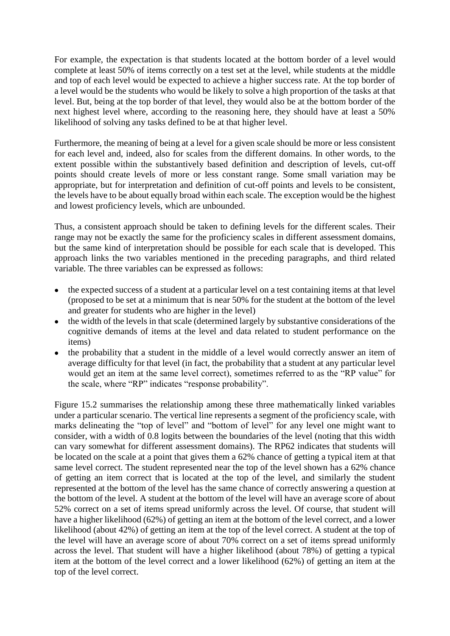For example, the expectation is that students located at the bottom border of a level would complete at least 50% of items correctly on a test set at the level, while students at the middle and top of each level would be expected to achieve a higher success rate. At the top border of a level would be the students who would be likely to solve a high proportion of the tasks at that level. But, being at the top border of that level, they would also be at the bottom border of the next highest level where, according to the reasoning here, they should have at least a 50% likelihood of solving any tasks defined to be at that higher level.

Furthermore, the meaning of being at a level for a given scale should be more or less consistent for each level and, indeed, also for scales from the different domains. In other words, to the extent possible within the substantively based definition and description of levels, cut-off points should create levels of more or less constant range. Some small variation may be appropriate, but for interpretation and definition of cut-off points and levels to be consistent, the levels have to be about equally broad within each scale. The exception would be the highest and lowest proficiency levels, which are unbounded.

Thus, a consistent approach should be taken to defining levels for the different scales. Their range may not be exactly the same for the proficiency scales in different assessment domains, but the same kind of interpretation should be possible for each scale that is developed. This approach links the two variables mentioned in the preceding paragraphs, and third related variable. The three variables can be expressed as follows:

- the expected success of a student at a particular level on a test containing items at that level (proposed to be set at a minimum that is near 50% for the student at the bottom of the level and greater for students who are higher in the level)
- the width of the levels in that scale (determined largely by substantive considerations of the cognitive demands of items at the level and data related to student performance on the items)
- the probability that a student in the middle of a level would correctly answer an item of average difficulty for that level (in fact, the probability that a student at any particular level would get an item at the same level correct), sometimes referred to as the "RP value" for the scale, where "RP" indicates "response probability".

Figure 15.2 summarises the relationship among these three mathematically linked variables under a particular scenario. The vertical line represents a segment of the proficiency scale, with marks delineating the "top of level" and "bottom of level" for any level one might want to consider, with a width of 0.8 logits between the boundaries of the level (noting that this width can vary somewhat for different assessment domains). The RP62 indicates that students will be located on the scale at a point that gives them a 62% chance of getting a typical item at that same level correct. The student represented near the top of the level shown has a 62% chance of getting an item correct that is located at the top of the level, and similarly the student represented at the bottom of the level has the same chance of correctly answering a question at the bottom of the level. A student at the bottom of the level will have an average score of about 52% correct on a set of items spread uniformly across the level. Of course, that student will have a higher likelihood (62%) of getting an item at the bottom of the level correct, and a lower likelihood (about 42%) of getting an item at the top of the level correct. A student at the top of the level will have an average score of about 70% correct on a set of items spread uniformly across the level. That student will have a higher likelihood (about 78%) of getting a typical item at the bottom of the level correct and a lower likelihood (62%) of getting an item at the top of the level correct.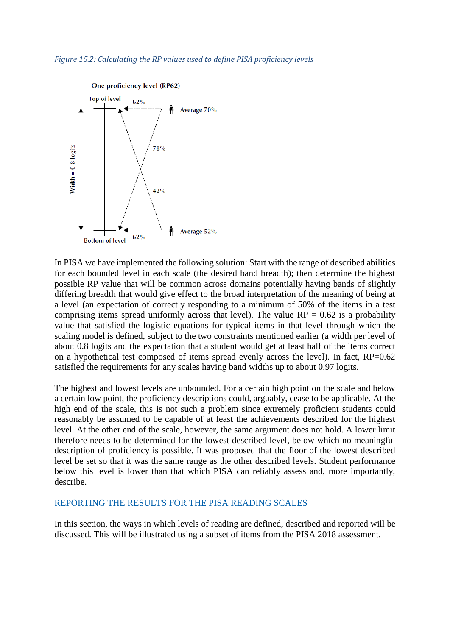#### *Figure 15.2: Calculating the RP values used to define PISA proficiency levels*



In PISA we have implemented the following solution: Start with the range of described abilities for each bounded level in each scale (the desired band breadth); then determine the highest possible RP value that will be common across domains potentially having bands of slightly differing breadth that would give effect to the broad interpretation of the meaning of being at a level (an expectation of correctly responding to a minimum of 50% of the items in a test comprising items spread uniformly across that level). The value  $RP = 0.62$  is a probability value that satisfied the logistic equations for typical items in that level through which the scaling model is defined, subject to the two constraints mentioned earlier (a width per level of about 0.8 logits and the expectation that a student would get at least half of the items correct on a hypothetical test composed of items spread evenly across the level). In fact, RP=0.62 satisfied the requirements for any scales having band widths up to about 0.97 logits.

The highest and lowest levels are unbounded. For a certain high point on the scale and below a certain low point, the proficiency descriptions could, arguably, cease to be applicable. At the high end of the scale, this is not such a problem since extremely proficient students could reasonably be assumed to be capable of at least the achievements described for the highest level. At the other end of the scale, however, the same argument does not hold. A lower limit therefore needs to be determined for the lowest described level, below which no meaningful description of proficiency is possible. It was proposed that the floor of the lowest described level be set so that it was the same range as the other described levels. Student performance below this level is lower than that which PISA can reliably assess and, more importantly, describe.

#### REPORTING THE RESULTS FOR THE PISA READING SCALES

In this section, the ways in which levels of reading are defined, described and reported will be discussed. This will be illustrated using a subset of items from the PISA 2018 assessment.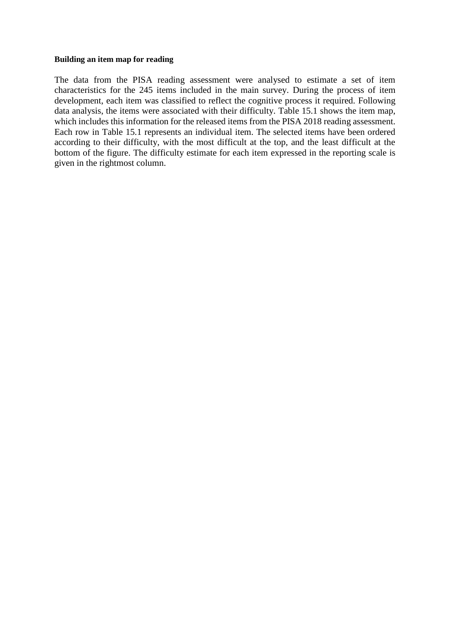#### **Building an item map for reading**

The data from the PISA reading assessment were analysed to estimate a set of item characteristics for the 245 items included in the main survey. During the process of item development, each item was classified to reflect the cognitive process it required. Following data analysis, the items were associated with their difficulty. Table 15.1 shows the item map, which includes this information for the released items from the PISA 2018 reading assessment. Each row in Table 15.1 represents an individual item. The selected items have been ordered according to their difficulty, with the most difficult at the top, and the least difficult at the bottom of the figure. The difficulty estimate for each item expressed in the reporting scale is given in the rightmost column.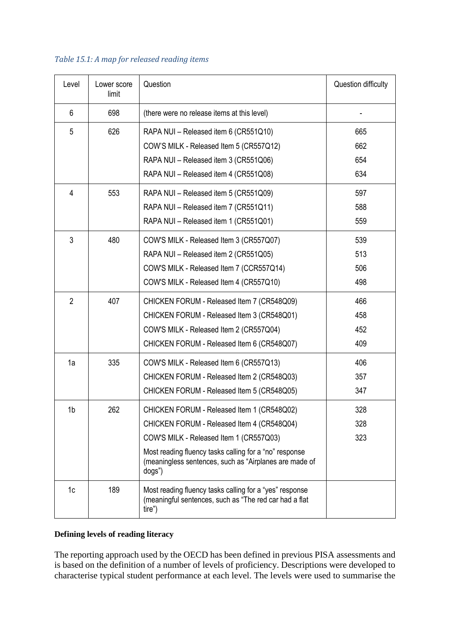## *Table 15.1: A map for released reading items*

| Level          | Lower score<br>limit | Question                                                                                                                    | Question difficulty |
|----------------|----------------------|-----------------------------------------------------------------------------------------------------------------------------|---------------------|
| 6              | 698                  | (there were no release items at this level)                                                                                 |                     |
| 5              | 626                  | RAPA NUI - Released item 6 (CR551Q10)                                                                                       | 665                 |
|                |                      | COW'S MILK - Released Item 5 (CR557Q12)                                                                                     | 662                 |
|                |                      | RAPA NUI - Released item 3 (CR551Q06)                                                                                       | 654                 |
|                |                      | RAPA NUI - Released item 4 (CR551Q08)                                                                                       | 634                 |
| 4              | 553                  | RAPA NUI - Released item 5 (CR551Q09)                                                                                       | 597                 |
|                |                      | RAPA NUI - Released item 7 (CR551Q11)                                                                                       | 588                 |
|                |                      | RAPA NUI - Released item 1 (CR551Q01)                                                                                       | 559                 |
| 3              | 480                  | COW'S MILK - Released Item 3 (CR557Q07)                                                                                     | 539                 |
|                |                      | RAPA NUI - Released item 2 (CR551Q05)                                                                                       | 513                 |
|                |                      | COW'S MILK - Released Item 7 (CCR557Q14)                                                                                    | 506                 |
|                |                      | COW'S MILK - Released Item 4 (CR557Q10)                                                                                     | 498                 |
| $\overline{2}$ | 407                  | CHICKEN FORUM - Released Item 7 (CR548Q09)                                                                                  | 466                 |
|                |                      | CHICKEN FORUM - Released Item 3 (CR548Q01)                                                                                  | 458                 |
|                |                      | COW'S MILK - Released Item 2 (CR557Q04)                                                                                     | 452                 |
|                |                      | CHICKEN FORUM - Released Item 6 (CR548Q07)                                                                                  | 409                 |
| 1a             | 335                  | COW'S MILK - Released Item 6 (CR557Q13)                                                                                     | 406                 |
|                |                      | CHICKEN FORUM - Released Item 2 (CR548Q03)                                                                                  | 357                 |
|                |                      | CHICKEN FORUM - Released Item 5 (CR548Q05)                                                                                  | 347                 |
| 1b             | 262                  | CHICKEN FORUM - Released Item 1 (CR548Q02)                                                                                  | 328                 |
|                |                      | CHICKEN FORUM - Released Item 4 (CR548Q04)                                                                                  | 328                 |
|                |                      | COW'S MILK - Released Item 1 (CR557Q03)                                                                                     | 323                 |
|                |                      | Most reading fluency tasks calling for a "no" response<br>(meaningless sentences, such as "Airplanes are made of<br>dogs")  |                     |
| 1 <sub>c</sub> | 189                  | Most reading fluency tasks calling for a "yes" response<br>(meaningful sentences, such as "The red car had a flat<br>tire") |                     |

## **Defining levels of reading literacy**

The reporting approach used by the OECD has been defined in previous PISA assessments and is based on the definition of a number of levels of proficiency. Descriptions were developed to characterise typical student performance at each level. The levels were used to summarise the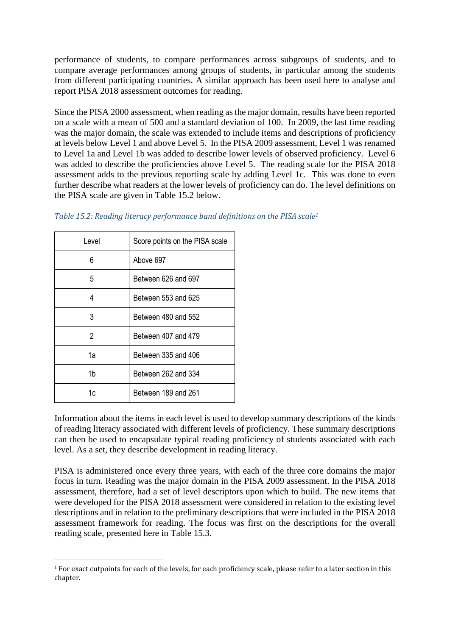performance of students, to compare performances across subgroups of students, and to compare average performances among groups of students, in particular among the students from different participating countries. A similar approach has been used here to analyse and report PISA 2018 assessment outcomes for reading.

Since the PISA 2000 assessment, when reading as the major domain, results have been reported on a scale with a mean of 500 and a standard deviation of 100. In 2009, the last time reading was the major domain, the scale was extended to include items and descriptions of proficiency at levels below Level 1 and above Level 5. In the PISA 2009 assessment, Level 1 was renamed to Level 1a and Level 1b was added to describe lower levels of observed proficiency. Level 6 was added to describe the proficiencies above Level 5. The reading scale for the PISA 2018 assessment adds to the previous reporting scale by adding Level 1c. This was done to even further describe what readers at the lower levels of proficiency can do. The level definitions on the PISA scale are given in Table 15.2 below.

| Level | Score points on the PISA scale |
|-------|--------------------------------|
| 6     | Above 697                      |
| 5     | Between 626 and 697            |
| 4     | Between 553 and 625            |
| 3     | Between 480 and 552            |
| 2     | Between 407 and 479            |
| 1a    | Between 335 and 406            |
| 1b    | Between 262 and 334            |
| 1c    | Between 189 and 261            |

<u>.</u>

*Table 15.2: Reading literacy performance band definitions on the PISA scale<sup>1</sup>*

Information about the items in each level is used to develop summary descriptions of the kinds of reading literacy associated with different levels of proficiency. These summary descriptions can then be used to encapsulate typical reading proficiency of students associated with each level. As a set, they describe development in reading literacy.

PISA is administered once every three years, with each of the three core domains the major focus in turn. Reading was the major domain in the PISA 2009 assessment. In the PISA 2018 assessment, therefore, had a set of level descriptors upon which to build. The new items that were developed for the PISA 2018 assessment were considered in relation to the existing level descriptions and in relation to the preliminary descriptions that were included in the PISA 2018 assessment framework for reading. The focus was first on the descriptions for the overall reading scale, presented here in Table 15.3.

<sup>&</sup>lt;sup>1</sup> For exact cutpoints for each of the levels, for each proficiency scale, please refer to a later section in this chapter.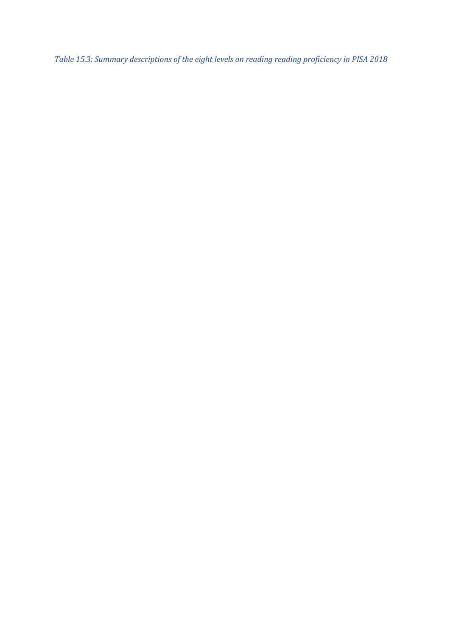*Table 15.3: Summary descriptions of the eight levels on reading reading proficiency in PISA 2018*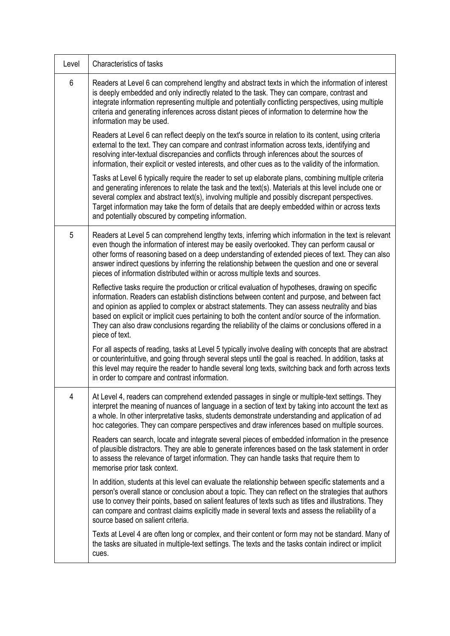| Level | Characteristics of tasks                                                                                                                                                                                                                                                                                                                                                                                                                                                                                                           |
|-------|------------------------------------------------------------------------------------------------------------------------------------------------------------------------------------------------------------------------------------------------------------------------------------------------------------------------------------------------------------------------------------------------------------------------------------------------------------------------------------------------------------------------------------|
| 6     | Readers at Level 6 can comprehend lengthy and abstract texts in which the information of interest<br>is deeply embedded and only indirectly related to the task. They can compare, contrast and<br>integrate information representing multiple and potentially conflicting perspectives, using multiple<br>criteria and generating inferences across distant pieces of information to determine how the<br>information may be used.                                                                                                |
|       | Readers at Level 6 can reflect deeply on the text's source in relation to its content, using criteria<br>external to the text. They can compare and contrast information across texts, identifying and<br>resolving inter-textual discrepancies and conflicts through inferences about the sources of<br>information, their explicit or vested interests, and other cues as to the validity of the information.                                                                                                                    |
|       | Tasks at Level 6 typically require the reader to set up elaborate plans, combining multiple criteria<br>and generating inferences to relate the task and the text(s). Materials at this level include one or<br>several complex and abstract text(s), involving multiple and possibly discrepant perspectives.<br>Target information may take the form of details that are deeply embedded within or across texts<br>and potentially obscured by competing information.                                                            |
| 5     | Readers at Level 5 can comprehend lengthy texts, inferring which information in the text is relevant<br>even though the information of interest may be easily overlooked. They can perform causal or<br>other forms of reasoning based on a deep understanding of extended pieces of text. They can also<br>answer indirect questions by inferring the relationship between the question and one or several<br>pieces of information distributed within or across multiple texts and sources.                                      |
|       | Reflective tasks require the production or critical evaluation of hypotheses, drawing on specific<br>information. Readers can establish distinctions between content and purpose, and between fact<br>and opinion as applied to complex or abstract statements. They can assess neutrality and bias<br>based on explicit or implicit cues pertaining to both the content and/or source of the information.<br>They can also draw conclusions regarding the reliability of the claims or conclusions offered in a<br>piece of text. |
|       | For all aspects of reading, tasks at Level 5 typically involve dealing with concepts that are abstract<br>or counterintuitive, and going through several steps until the goal is reached. In addition, tasks at<br>this level may require the reader to handle several long texts, switching back and forth across texts<br>in order to compare and contrast information.                                                                                                                                                          |
| 4     | At Level 4, readers can comprehend extended passages in single or multiple-text settings. They<br>interpret the meaning of nuances of language in a section of text by taking into account the text as<br>a whole. In other interpretative tasks, students demonstrate understanding and application of ad<br>hoc categories. They can compare perspectives and draw inferences based on multiple sources.                                                                                                                         |
|       | Readers can search, locate and integrate several pieces of embedded information in the presence<br>of plausible distractors. They are able to generate inferences based on the task statement in order<br>to assess the relevance of target information. They can handle tasks that require them to<br>memorise prior task context.                                                                                                                                                                                                |
|       | In addition, students at this level can evaluate the relationship between specific statements and a<br>person's overall stance or conclusion about a topic. They can reflect on the strategies that authors<br>use to convey their points, based on salient features of texts such as titles and illustrations. They<br>can compare and contrast claims explicitly made in several texts and assess the reliability of a<br>source based on salient criteria.                                                                      |
|       | Texts at Level 4 are often long or complex, and their content or form may not be standard. Many of<br>the tasks are situated in multiple-text settings. The texts and the tasks contain indirect or implicit<br>cues.                                                                                                                                                                                                                                                                                                              |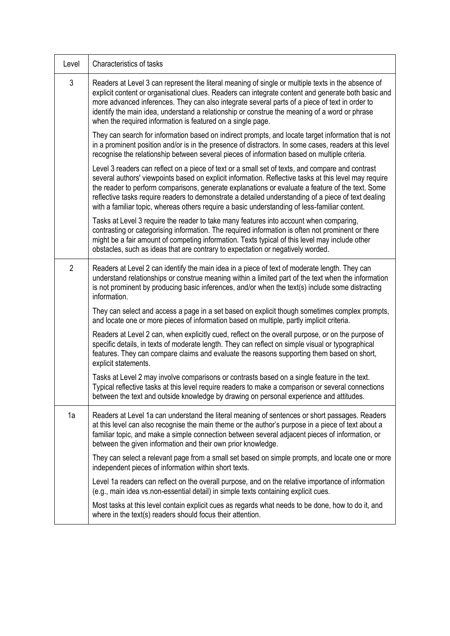| Level          | Characteristics of tasks                                                                                                                                                                                                                                                                                                                                                                                                                                                                                              |  |
|----------------|-----------------------------------------------------------------------------------------------------------------------------------------------------------------------------------------------------------------------------------------------------------------------------------------------------------------------------------------------------------------------------------------------------------------------------------------------------------------------------------------------------------------------|--|
| 3              | Readers at Level 3 can represent the literal meaning of single or multiple texts in the absence of<br>explicit content or organisational clues. Readers can integrate content and generate both basic and<br>more advanced inferences. They can also integrate several parts of a piece of text in order to<br>identify the main idea, understand a relationship or construe the meaning of a word or phrase<br>when the required information is featured on a single page.                                           |  |
|                | They can search for information based on indirect prompts, and locate target information that is not<br>in a prominent position and/or is in the presence of distractors. In some cases, readers at this level<br>recognise the relationship between several pieces of information based on multiple criteria.                                                                                                                                                                                                        |  |
|                | Level 3 readers can reflect on a piece of text or a small set of texts, and compare and contrast<br>several authors' viewpoints based on explicit information. Reflective tasks at this level may require<br>the reader to perform comparisons, generate explanations or evaluate a feature of the text. Some<br>reflective tasks require readers to demonstrate a detailed understanding of a piece of text dealing<br>with a familiar topic, whereas others require a basic understanding of less-familiar content. |  |
|                | Tasks at Level 3 require the reader to take many features into account when comparing,<br>contrasting or categorising information. The required information is often not prominent or there<br>might be a fair amount of competing information. Texts typical of this level may include other<br>obstacles, such as ideas that are contrary to expectation or negatively worded.                                                                                                                                      |  |
| $\overline{2}$ | Readers at Level 2 can identify the main idea in a piece of text of moderate length. They can<br>understand relationships or construe meaning within a limited part of the text when the information<br>is not prominent by producing basic inferences, and/or when the text(s) include some distracting<br>information.                                                                                                                                                                                              |  |
|                | They can select and access a page in a set based on explicit though sometimes complex prompts,<br>and locate one or more pieces of information based on multiple, partly implicit criteria.                                                                                                                                                                                                                                                                                                                           |  |
|                | Readers at Level 2 can, when explicitly cued, reflect on the overall purpose, or on the purpose of<br>specific details, in texts of moderate length. They can reflect on simple visual or typographical<br>features. They can compare claims and evaluate the reasons supporting them based on short,<br>explicit statements.                                                                                                                                                                                         |  |
|                | Tasks at Level 2 may involve comparisons or contrasts based on a single feature in the text.<br>Typical reflective tasks at this level require readers to make a comparison or several connections<br>between the text and outside knowledge by drawing on personal experience and attitudes.                                                                                                                                                                                                                         |  |
| 1a             | Readers at Level 1a can understand the literal meaning of sentences or short passages. Readers<br>at this level can also recognise the main theme or the author's purpose in a piece of text about a<br>familiar topic, and make a simple connection between several adjacent pieces of information, or<br>between the given information and their own prior knowledge.                                                                                                                                               |  |
|                | They can select a relevant page from a small set based on simple prompts, and locate one or more<br>independent pieces of information within short texts.                                                                                                                                                                                                                                                                                                                                                             |  |
|                | Level 1a readers can reflect on the overall purpose, and on the relative importance of information<br>(e.g., main idea vs.non-essential detail) in simple texts containing explicit cues.                                                                                                                                                                                                                                                                                                                             |  |
|                | Most tasks at this level contain explicit cues as regards what needs to be done, how to do it, and<br>where in the text(s) readers should focus their attention.                                                                                                                                                                                                                                                                                                                                                      |  |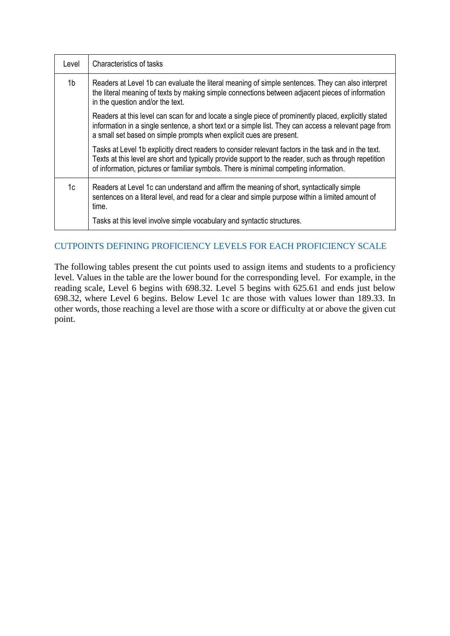| Level | Characteristics of tasks                                                                                                                                                                                                                                                                                |
|-------|---------------------------------------------------------------------------------------------------------------------------------------------------------------------------------------------------------------------------------------------------------------------------------------------------------|
| 1b    | Readers at Level 1b can evaluate the literal meaning of simple sentences. They can also interpret<br>the literal meaning of texts by making simple connections between adjacent pieces of information<br>in the question and/or the text.                                                               |
|       | Readers at this level can scan for and locate a single piece of prominently placed, explicitly stated<br>information in a single sentence, a short text or a simple list. They can access a relevant page from<br>a small set based on simple prompts when explicit cues are present.                   |
|       | Tasks at Level 1b explicitly direct readers to consider relevant factors in the task and in the text.<br>Texts at this level are short and typically provide support to the reader, such as through repetition<br>of information, pictures or familiar symbols. There is minimal competing information. |
| 1c    | Readers at Level 1c can understand and affirm the meaning of short, syntactically simple<br>sentences on a literal level, and read for a clear and simple purpose within a limited amount of<br>time.                                                                                                   |
|       | Tasks at this level involve simple vocabulary and syntactic structures.                                                                                                                                                                                                                                 |

# CUTPOINTS DEFINING PROFICIENCY LEVELS FOR EACH PROFICIENCY SCALE

The following tables present the cut points used to assign items and students to a proficiency level. Values in the table are the lower bound for the corresponding level. For example, in the reading scale, Level 6 begins with 698.32. Level 5 begins with 625.61 and ends just below 698.32, where Level 6 begins. Below Level 1c are those with values lower than 189.33. In other words, those reaching a level are those with a score or difficulty at or above the given cut point.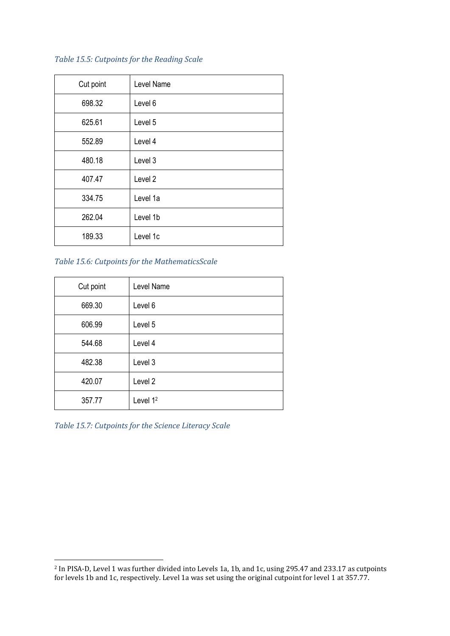## *Table 15.5: Cutpoints for the Reading Scale*

| Cut point | Level Name         |
|-----------|--------------------|
| 698.32    | Level 6            |
| 625.61    | Level 5            |
| 552.89    | Level 4            |
| 480.18    | Level 3            |
| 407.47    | Level <sub>2</sub> |
| 334.75    | Level 1a           |
| 262.04    | Level 1b           |
| 189.33    | Level 1c           |

## *Table 15.6: Cutpoints for the MathematicsScale*

| Cut point | Level Name           |
|-----------|----------------------|
| 669.30    | Level 6              |
| 606.99    | Level 5              |
| 544.68    | Level 4              |
| 482.38    | Level 3              |
| 420.07    | Level 2              |
| 357.77    | Level 1 <sup>2</sup> |

*Table 15.7: Cutpoints for the Science Literacy Scale*

<u>.</u>

<sup>2</sup> In PISA-D, Level 1 was further divided into Levels 1a, 1b, and 1c, using 295.47 and 233.17 as cutpoints for levels 1b and 1c, respectively. Level 1a was set using the original cutpoint for level 1 at 357.77.